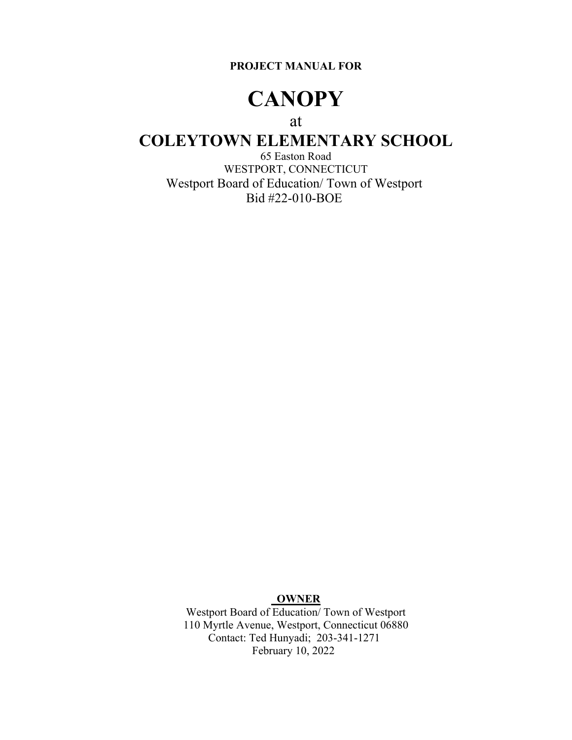**PROJECT MANUAL FOR** 

# **CANOPY**

### at

# **COLEYTOWN ELEMENTARY SCHOOL**

65 Easton Road WESTPORT, CONNECTICUT Westport Board of Education/ Town of Westport Bid #22-010-BOE

# **OWNER**

Westport Board of Education/ Town of Westport 110 Myrtle Avenue, Westport, Connecticut 06880 Contact: Ted Hunyadi; 203-341-1271 February 10, 2022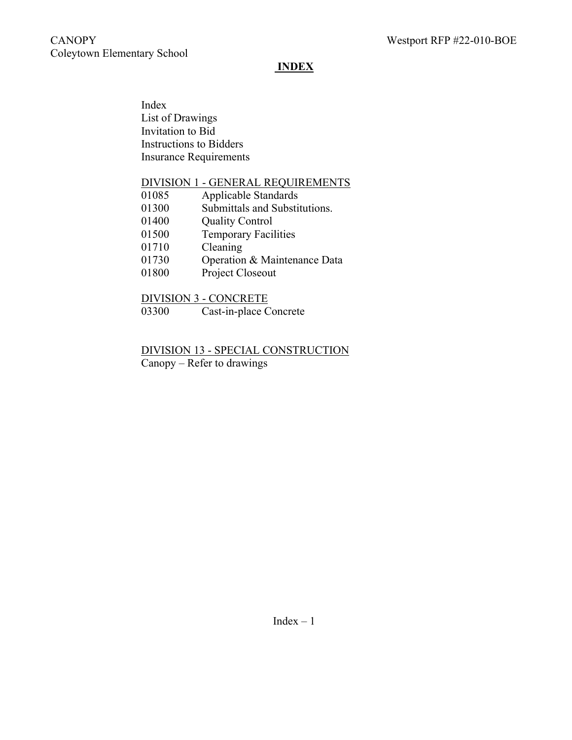#### **INDEX**

Index List of Drawings Invitation to Bid Instructions to Bidders Insurance Requirements

# DIVISION 1 - GENERAL REQUIREMENTS

- 01085 Applicable Standards
- 01300 Submittals and Substitutions.
- 01400 Quality Control
- 01500 Temporary Facilities
- 01710 Cleaning
- 01730 Operation & Maintenance Data
- 01800 Project Closeout

#### DIVISION 3 - CONCRETE

03300 Cast-in-place Concrete

# DIVISION 13 - SPECIAL CONSTRUCTION

Canopy – Refer to drawings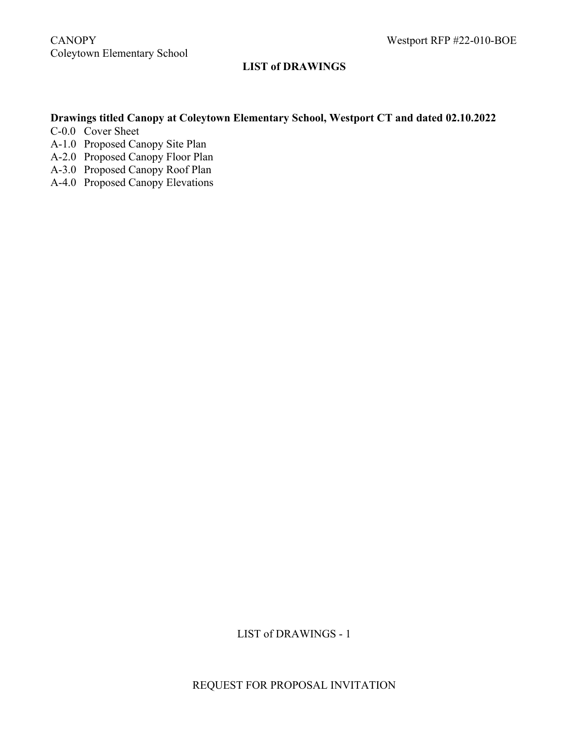# **LIST of DRAWINGS**

# **Drawings titled Canopy at Coleytown Elementary School, Westport CT and dated 02.10.2022**

- C-0.0 Cover Sheet
- A-1.0 Proposed Canopy Site Plan
- A-2.0 Proposed Canopy Floor Plan
- A-3.0 Proposed Canopy Roof Plan
- A-4.0 Proposed Canopy Elevations

LIST of DRAWINGS - 1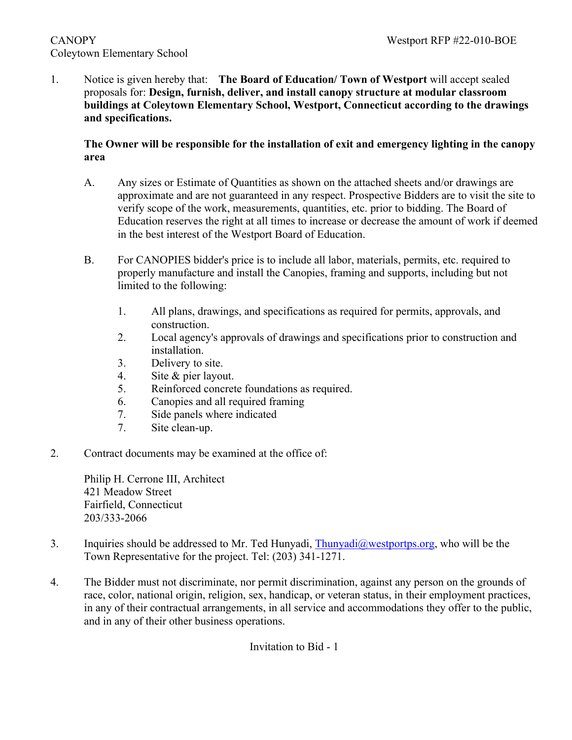1. Notice is given hereby that: **The Board of Education/ Town of Westport** will accept sealed proposals for: **Design, furnish, deliver, and install canopy structure at modular classroom buildings at Coleytown Elementary School, Westport, Connecticut according to the drawings and specifications.** 

### **The Owner will be responsible for the installation of exit and emergency lighting in the canopy area**

- A. Any sizes or Estimate of Quantities as shown on the attached sheets and/or drawings are approximate and are not guaranteed in any respect. Prospective Bidders are to visit the site to verify scope of the work, measurements, quantities, etc. prior to bidding. The Board of Education reserves the right at all times to increase or decrease the amount of work if deemed in the best interest of the Westport Board of Education.
- B. For CANOPIES bidder's price is to include all labor, materials, permits, etc. required to properly manufacture and install the Canopies, framing and supports, including but not limited to the following:
	- 1. All plans, drawings, and specifications as required for permits, approvals, and construction.
	- 2. Local agency's approvals of drawings and specifications prior to construction and installation.
	- 3. Delivery to site.
	- 4. Site & pier layout.
	- 5. Reinforced concrete foundations as required.
	- 6. Canopies and all required framing
	- 7. Side panels where indicated
	- 7. Site clean-up.
- 2. Contract documents may be examined at the office of:

Philip H. Cerrone III, Architect 421 Meadow Street Fairfield, Connecticut 203/333-2066

- 3. Inquiries should be addressed to Mr. Ted Hunyadi, [Thunyadi@westportps.org](mailto:Thunyadi@westportps.org), who will be the Town Representative for the project. Tel: (203) 341-1271.
- 4. The Bidder must not discriminate, nor permit discrimination, against any person on the grounds of race, color, national origin, religion, sex, handicap, or veteran status, in their employment practices, in any of their contractual arrangements, in all service and accommodations they offer to the public, and in any of their other business operations.

Invitation to Bid - 1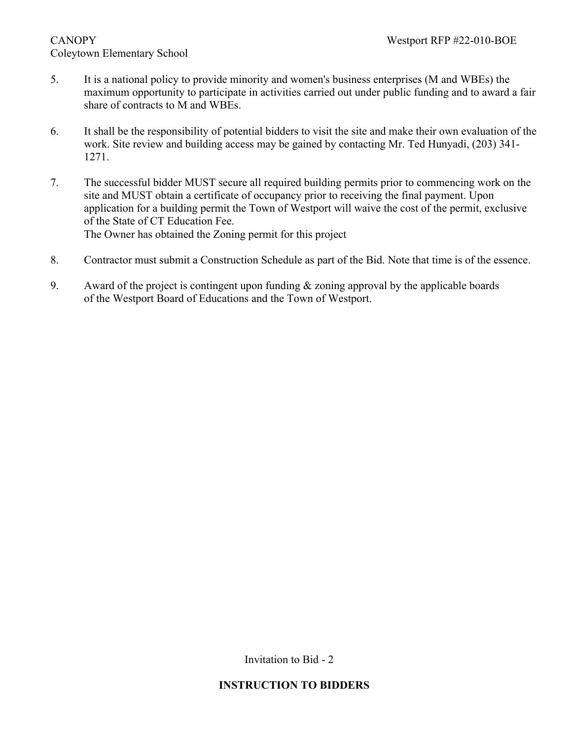# CANOPY Westport RFP #22-010-BOE Coleytown Elementary School

- 5. It is a national policy to provide minority and women's business enterprises (M and WBEs) the maximum opportunity to participate in activities carried out under public funding and to award a fair share of contracts to M and WBEs.
- 6. It shall be the responsibility of potential bidders to visit the site and make their own evaluation of the work. Site review and building access may be gained by contacting Mr. Ted Hunyadi, (203) 341- 1271.
- 7. The successful bidder MUST secure all required building permits prior to commencing work on the site and MUST obtain a certificate of occupancy prior to receiving the final payment. Upon application for a building permit the Town of Westport will waive the cost of the permit, exclusive of the State of CT Education Fee. The Owner has obtained the Zoning permit for this project
- 8. Contractor must submit a Construction Schedule as part of the Bid. Note that time is of the essence.
- 9. Award of the project is contingent upon funding  $&$  zoning approval by the applicable boards of the Westport Board of Educations and the Town of Westport.

Invitation to Bid - 2

# **INSTRUCTION TO BIDDERS**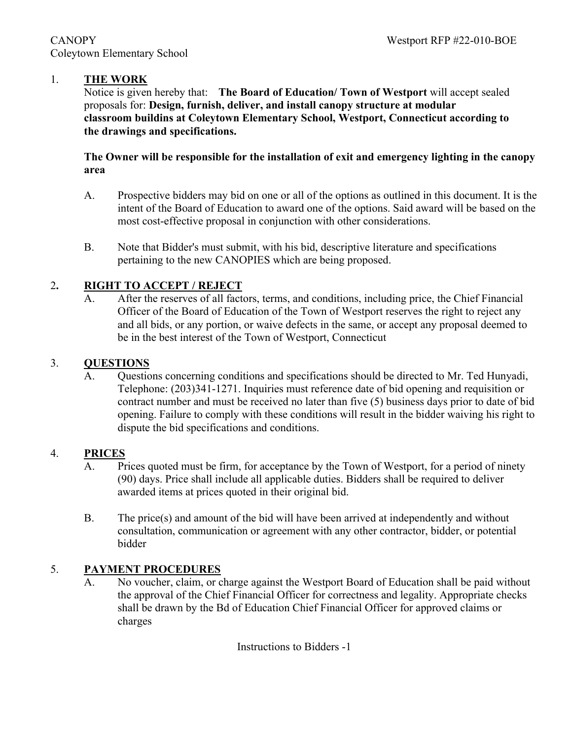## 1. **THE WORK**

Notice is given hereby that: **The Board of Education/ Town of Westport** will accept sealed proposals for: **Design, furnish, deliver, and install canopy structure at modular classroom buildins at Coleytown Elementary School, Westport, Connecticut according to the drawings and specifications.** 

# **The Owner will be responsible for the installation of exit and emergency lighting in the canopy area**

- A. Prospective bidders may bid on one or all of the options as outlined in this document. It is the intent of the Board of Education to award one of the options. Said award will be based on the most cost-effective proposal in conjunction with other considerations.
- B. Note that Bidder's must submit, with his bid, descriptive literature and specifications pertaining to the new CANOPIES which are being proposed.

# 2**. RIGHT TO ACCEPT / REJECT**

A. After the reserves of all factors, terms, and conditions, including price, the Chief Financial Officer of the Board of Education of the Town of Westport reserves the right to reject any and all bids, or any portion, or waive defects in the same, or accept any proposal deemed to be in the best interest of the Town of Westport, Connecticut

### 3. **QUESTIONS**

A. Questions concerning conditions and specifications should be directed to Mr. Ted Hunyadi, Telephone: (203)341-1271. Inquiries must reference date of bid opening and requisition or contract number and must be received no later than five (5) business days prior to date of bid opening. Failure to comply with these conditions will result in the bidder waiving his right to dispute the bid specifications and conditions.

# 4. **PRICES**

- A. Prices quoted must be firm, for acceptance by the Town of Westport, for a period of ninety (90) days. Price shall include all applicable duties. Bidders shall be required to deliver awarded items at prices quoted in their original bid.
- B. The price(s) and amount of the bid will have been arrived at independently and without consultation, communication or agreement with any other contractor, bidder, or potential bidder

# 5. **PAYMENT PROCEDURES**

A. No voucher, claim, or charge against the Westport Board of Education shall be paid without the approval of the Chief Financial Officer for correctness and legality. Appropriate checks shall be drawn by the Bd of Education Chief Financial Officer for approved claims or charges

Instructions to Bidders -1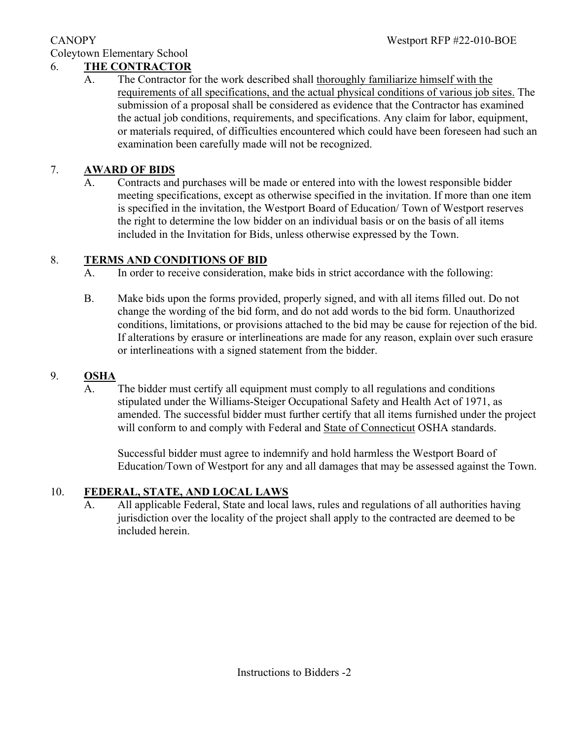# CANOPY Westport RFP #22-010-BOE Coleytown Elementary School

# 6. **THE CONTRACTOR**

A. The Contractor for the work described shall thoroughly familiarize himself with the requirements of all specifications, and the actual physical conditions of various job sites. The submission of a proposal shall be considered as evidence that the Contractor has examined the actual job conditions, requirements, and specifications. Any claim for labor, equipment, or materials required, of difficulties encountered which could have been foreseen had such an examination been carefully made will not be recognized.

# 7. **AWARD OF BIDS**

A. Contracts and purchases will be made or entered into with the lowest responsible bidder meeting specifications, except as otherwise specified in the invitation. If more than one item is specified in the invitation, the Westport Board of Education/ Town of Westport reserves the right to determine the low bidder on an individual basis or on the basis of all items included in the Invitation for Bids, unless otherwise expressed by the Town.

# 8. **TERMS AND CONDITIONS OF BID**

A. In order to receive consideration, make bids in strict accordance with the following:

B. Make bids upon the forms provided, properly signed, and with all items filled out. Do not change the wording of the bid form, and do not add words to the bid form. Unauthorized conditions, limitations, or provisions attached to the bid may be cause for rejection of the bid. If alterations by erasure or interlineations are made for any reason, explain over such erasure or interlineations with a signed statement from the bidder.

# 9. **OSHA**

A. The bidder must certify all equipment must comply to all regulations and conditions stipulated under the Williams-Steiger Occupational Safety and Health Act of 1971, as amended. The successful bidder must further certify that all items furnished under the project will conform to and comply with Federal and State of Connecticut OSHA standards.

Successful bidder must agree to indemnify and hold harmless the Westport Board of Education/Town of Westport for any and all damages that may be assessed against the Town.

# 10. **FEDERAL, STATE, AND LOCAL LAWS**

A. All applicable Federal, State and local laws, rules and regulations of all authorities having jurisdiction over the locality of the project shall apply to the contracted are deemed to be included herein.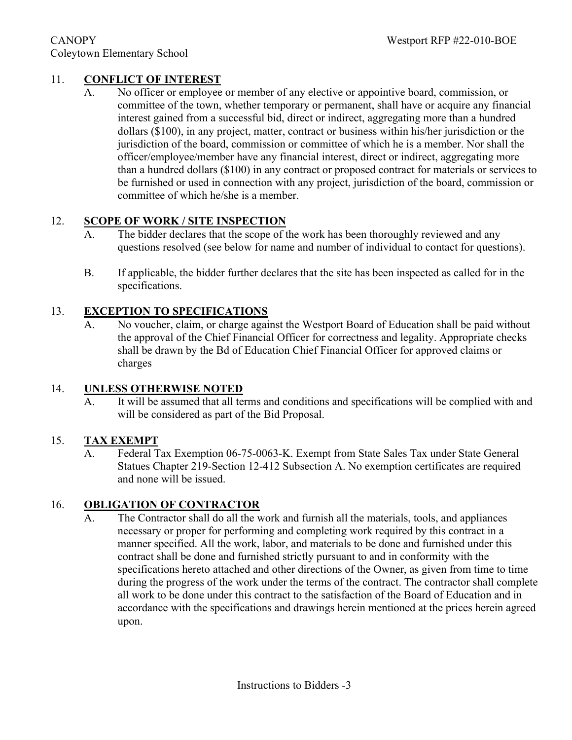# 11. **CONFLICT OF INTEREST**

A. No officer or employee or member of any elective or appointive board, commission, or committee of the town, whether temporary or permanent, shall have or acquire any financial interest gained from a successful bid, direct or indirect, aggregating more than a hundred dollars (\$100), in any project, matter, contract or business within his/her jurisdiction or the jurisdiction of the board, commission or committee of which he is a member. Nor shall the officer/employee/member have any financial interest, direct or indirect, aggregating more than a hundred dollars (\$100) in any contract or proposed contract for materials or services to be furnished or used in connection with any project, jurisdiction of the board, commission or committee of which he/she is a member.

# 12. **SCOPE OF WORK / SITE INSPECTION**

- A. The bidder declares that the scope of the work has been thoroughly reviewed and any questions resolved (see below for name and number of individual to contact for questions).
- B. If applicable, the bidder further declares that the site has been inspected as called for in the specifications.

# 13. **EXCEPTION TO SPECIFICATIONS**

A. No voucher, claim, or charge against the Westport Board of Education shall be paid without the approval of the Chief Financial Officer for correctness and legality. Appropriate checks shall be drawn by the Bd of Education Chief Financial Officer for approved claims or charges

# 14. **UNLESS OTHERWISE NOTED**

 $\overline{A}$ . It will be assumed that all terms and conditions and specifications will be complied with and will be considered as part of the Bid Proposal.

# 15. **TAX EXEMPT**

A. Federal Tax Exemption 06-75-0063-K. Exempt from State Sales Tax under State General Statues Chapter 219-Section 12-412 Subsection A. No exemption certificates are required and none will be issued.

# 16. **OBLIGATION OF CONTRACTOR**

A. The Contractor shall do all the work and furnish all the materials, tools, and appliances necessary or proper for performing and completing work required by this contract in a manner specified. All the work, labor, and materials to be done and furnished under this contract shall be done and furnished strictly pursuant to and in conformity with the specifications hereto attached and other directions of the Owner, as given from time to time during the progress of the work under the terms of the contract. The contractor shall complete all work to be done under this contract to the satisfaction of the Board of Education and in accordance with the specifications and drawings herein mentioned at the prices herein agreed upon.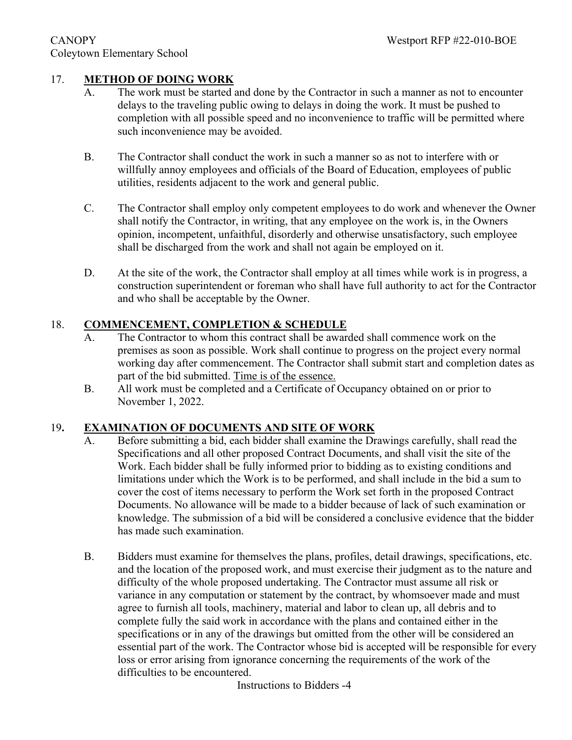# 17. **METHOD OF DOING WORK**

- A. The work must be started and done by the Contractor in such a manner as not to encounter delays to the traveling public owing to delays in doing the work. It must be pushed to completion with all possible speed and no inconvenience to traffic will be permitted where such inconvenience may be avoided.
- B. The Contractor shall conduct the work in such a manner so as not to interfere with or willfully annoy employees and officials of the Board of Education, employees of public utilities, residents adjacent to the work and general public.
- C. The Contractor shall employ only competent employees to do work and whenever the Owner shall notify the Contractor, in writing, that any employee on the work is, in the Owners opinion, incompetent, unfaithful, disorderly and otherwise unsatisfactory, such employee shall be discharged from the work and shall not again be employed on it.
- D. At the site of the work, the Contractor shall employ at all times while work is in progress, a construction superintendent or foreman who shall have full authority to act for the Contractor and who shall be acceptable by the Owner.

# 18. **COMMENCEMENT, COMPLETION & SCHEDULE**

- A. The Contractor to whom this contract shall be awarded shall commence work on the premises as soon as possible. Work shall continue to progress on the project every normal working day after commencement. The Contractor shall submit start and completion dates as part of the bid submitted. Time is of the essence.
- B. All work must be completed and a Certificate of Occupancy obtained on or prior to November 1, 2022.

# 19**. EXAMINATION OF DOCUMENTS AND SITE OF WORK**

- A. Before submitting a bid, each bidder shall examine the Drawings carefully, shall read the Specifications and all other proposed Contract Documents, and shall visit the site of the Work. Each bidder shall be fully informed prior to bidding as to existing conditions and limitations under which the Work is to be performed, and shall include in the bid a sum to cover the cost of items necessary to perform the Work set forth in the proposed Contract Documents. No allowance will be made to a bidder because of lack of such examination or knowledge. The submission of a bid will be considered a conclusive evidence that the bidder has made such examination.
- B. Bidders must examine for themselves the plans, profiles, detail drawings, specifications, etc. and the location of the proposed work, and must exercise their judgment as to the nature and difficulty of the whole proposed undertaking. The Contractor must assume all risk or variance in any computation or statement by the contract, by whomsoever made and must agree to furnish all tools, machinery, material and labor to clean up, all debris and to complete fully the said work in accordance with the plans and contained either in the specifications or in any of the drawings but omitted from the other will be considered an essential part of the work. The Contractor whose bid is accepted will be responsible for every loss or error arising from ignorance concerning the requirements of the work of the difficulties to be encountered.

Instructions to Bidders -4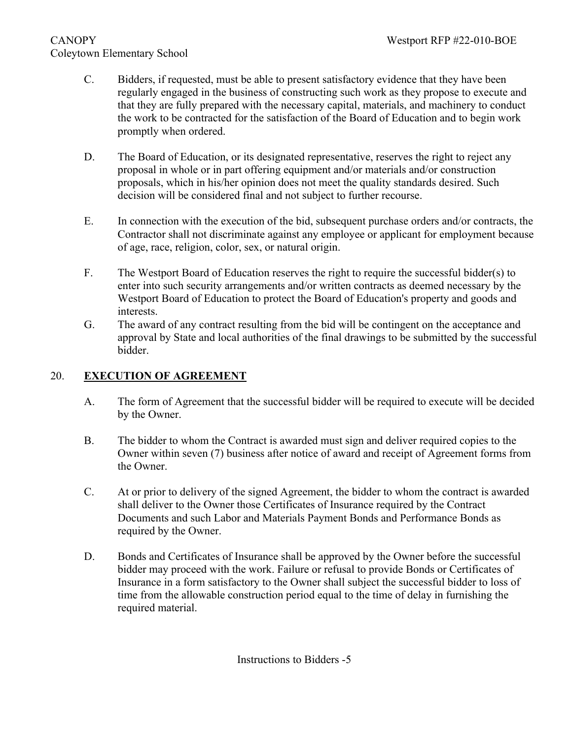# CANOPY Westport RFP #22-010-BOE Coleytown Elementary School

- C. Bidders, if requested, must be able to present satisfactory evidence that they have been regularly engaged in the business of constructing such work as they propose to execute and that they are fully prepared with the necessary capital, materials, and machinery to conduct the work to be contracted for the satisfaction of the Board of Education and to begin work promptly when ordered.
- D. The Board of Education, or its designated representative, reserves the right to reject any proposal in whole or in part offering equipment and/or materials and/or construction proposals, which in his/her opinion does not meet the quality standards desired. Such decision will be considered final and not subject to further recourse.
- E. In connection with the execution of the bid, subsequent purchase orders and/or contracts, the Contractor shall not discriminate against any employee or applicant for employment because of age, race, religion, color, sex, or natural origin.
- F. The Westport Board of Education reserves the right to require the successful bidder(s) to enter into such security arrangements and/or written contracts as deemed necessary by the Westport Board of Education to protect the Board of Education's property and goods and interests.
- G. The award of any contract resulting from the bid will be contingent on the acceptance and approval by State and local authorities of the final drawings to be submitted by the successful bidder.

# 20. **EXECUTION OF AGREEMENT**

- A. The form of Agreement that the successful bidder will be required to execute will be decided by the Owner.
- B. The bidder to whom the Contract is awarded must sign and deliver required copies to the Owner within seven (7) business after notice of award and receipt of Agreement forms from the Owner.
- C. At or prior to delivery of the signed Agreement, the bidder to whom the contract is awarded shall deliver to the Owner those Certificates of Insurance required by the Contract Documents and such Labor and Materials Payment Bonds and Performance Bonds as required by the Owner.
- D. Bonds and Certificates of Insurance shall be approved by the Owner before the successful bidder may proceed with the work. Failure or refusal to provide Bonds or Certificates of Insurance in a form satisfactory to the Owner shall subject the successful bidder to loss of time from the allowable construction period equal to the time of delay in furnishing the required material.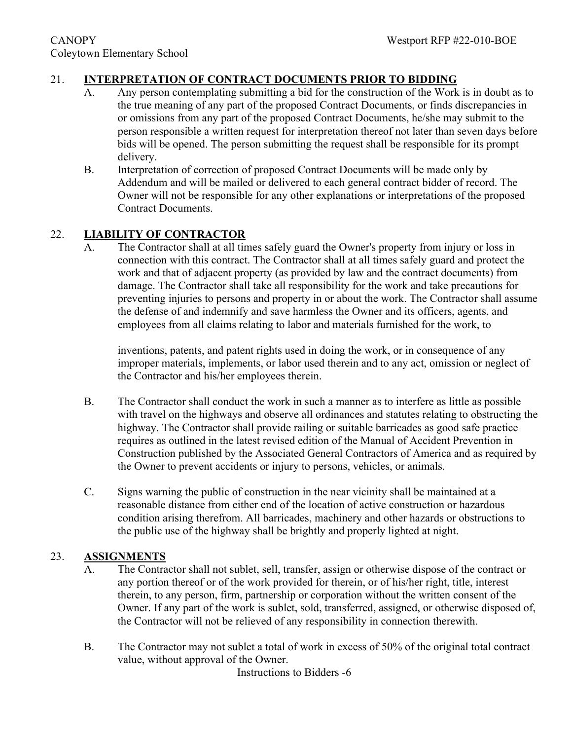# 21. **INTERPRETATION OF CONTRACT DOCUMENTS PRIOR TO BIDDING**

- A. Any person contemplating submitting a bid for the construction of the Work is in doubt as to the true meaning of any part of the proposed Contract Documents, or finds discrepancies in or omissions from any part of the proposed Contract Documents, he/she may submit to the person responsible a written request for interpretation thereof not later than seven days before bids will be opened. The person submitting the request shall be responsible for its prompt delivery.
- B. Interpretation of correction of proposed Contract Documents will be made only by Addendum and will be mailed or delivered to each general contract bidder of record. The Owner will not be responsible for any other explanations or interpretations of the proposed Contract Documents.

#### 22. **LIABILITY OF CONTRACTOR**

A. The Contractor shall at all times safely guard the Owner's property from injury or loss in connection with this contract. The Contractor shall at all times safely guard and protect the work and that of adjacent property (as provided by law and the contract documents) from damage. The Contractor shall take all responsibility for the work and take precautions for preventing injuries to persons and property in or about the work. The Contractor shall assume the defense of and indemnify and save harmless the Owner and its officers, agents, and employees from all claims relating to labor and materials furnished for the work, to

inventions, patents, and patent rights used in doing the work, or in consequence of any improper materials, implements, or labor used therein and to any act, omission or neglect of the Contractor and his/her employees therein.

- B. The Contractor shall conduct the work in such a manner as to interfere as little as possible with travel on the highways and observe all ordinances and statutes relating to obstructing the highway. The Contractor shall provide railing or suitable barricades as good safe practice requires as outlined in the latest revised edition of the Manual of Accident Prevention in Construction published by the Associated General Contractors of America and as required by the Owner to prevent accidents or injury to persons, vehicles, or animals.
- C. Signs warning the public of construction in the near vicinity shall be maintained at a reasonable distance from either end of the location of active construction or hazardous condition arising therefrom. All barricades, machinery and other hazards or obstructions to the public use of the highway shall be brightly and properly lighted at night.

# 23. **ASSIGNMENTS**

- A. The Contractor shall not sublet, sell, transfer, assign or otherwise dispose of the contract or any portion thereof or of the work provided for therein, or of his/her right, title, interest therein, to any person, firm, partnership or corporation without the written consent of the Owner. If any part of the work is sublet, sold, transferred, assigned, or otherwise disposed of, the Contractor will not be relieved of any responsibility in connection therewith.
- B. The Contractor may not sublet a total of work in excess of 50% of the original total contract value, without approval of the Owner.

Instructions to Bidders -6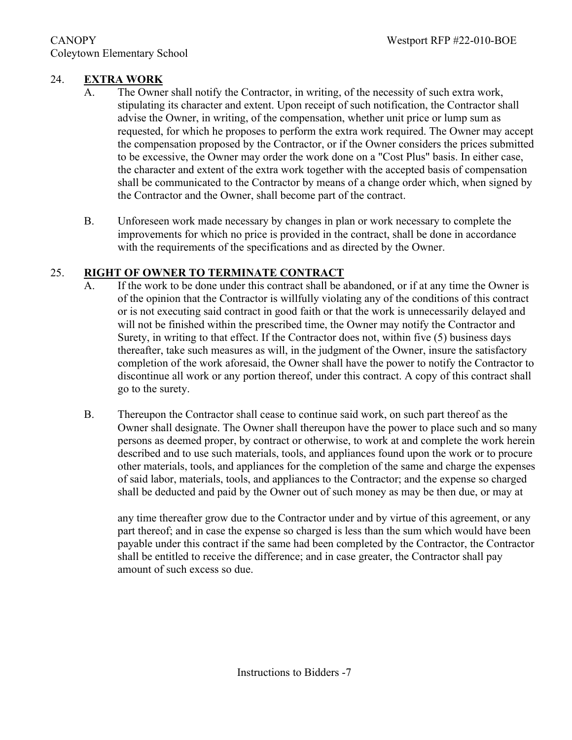# 24. **EXTRA WORK**

- A. The Owner shall notify the Contractor, in writing, of the necessity of such extra work, stipulating its character and extent. Upon receipt of such notification, the Contractor shall advise the Owner, in writing, of the compensation, whether unit price or lump sum as requested, for which he proposes to perform the extra work required. The Owner may accept the compensation proposed by the Contractor, or if the Owner considers the prices submitted to be excessive, the Owner may order the work done on a "Cost Plus" basis. In either case, the character and extent of the extra work together with the accepted basis of compensation shall be communicated to the Contractor by means of a change order which, when signed by the Contractor and the Owner, shall become part of the contract.
- B. Unforeseen work made necessary by changes in plan or work necessary to complete the improvements for which no price is provided in the contract, shall be done in accordance with the requirements of the specifications and as directed by the Owner.

# 25. **RIGHT OF OWNER TO TERMINATE CONTRACT**

- A. If the work to be done under this contract shall be abandoned, or if at any time the Owner is of the opinion that the Contractor is willfully violating any of the conditions of this contract or is not executing said contract in good faith or that the work is unnecessarily delayed and will not be finished within the prescribed time, the Owner may notify the Contractor and Surety, in writing to that effect. If the Contractor does not, within five (5) business days thereafter, take such measures as will, in the judgment of the Owner, insure the satisfactory completion of the work aforesaid, the Owner shall have the power to notify the Contractor to discontinue all work or any portion thereof, under this contract. A copy of this contract shall go to the surety.
- B. Thereupon the Contractor shall cease to continue said work, on such part thereof as the Owner shall designate. The Owner shall thereupon have the power to place such and so many persons as deemed proper, by contract or otherwise, to work at and complete the work herein described and to use such materials, tools, and appliances found upon the work or to procure other materials, tools, and appliances for the completion of the same and charge the expenses of said labor, materials, tools, and appliances to the Contractor; and the expense so charged shall be deducted and paid by the Owner out of such money as may be then due, or may at

any time thereafter grow due to the Contractor under and by virtue of this agreement, or any part thereof; and in case the expense so charged is less than the sum which would have been payable under this contract if the same had been completed by the Contractor, the Contractor shall be entitled to receive the difference; and in case greater, the Contractor shall pay amount of such excess so due.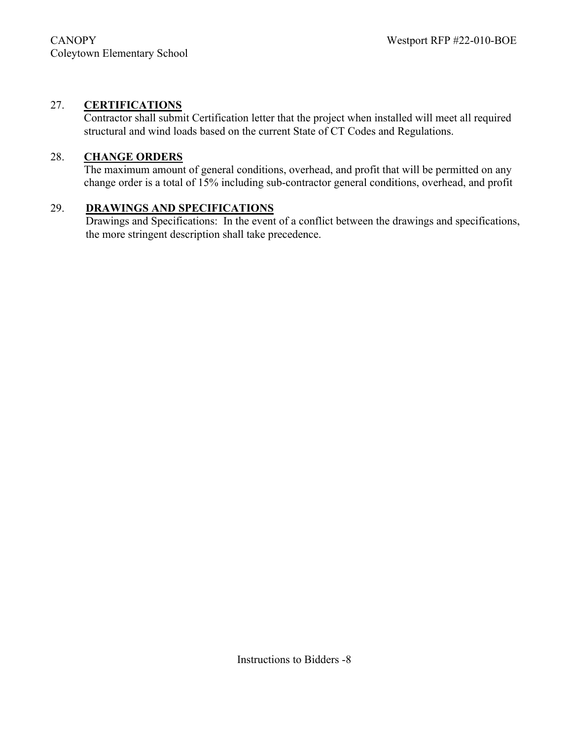# 27. **CERTIFICATIONS**

Contractor shall submit Certification letter that the project when installed will meet all required structural and wind loads based on the current State of CT Codes and Regulations.

## 28. **CHANGE ORDERS**

The maximum amount of general conditions, overhead, and profit that will be permitted on any change order is a total of 15% including sub-contractor general conditions, overhead, and profit

#### 29. **DRAWINGS AND SPECIFICATIONS**

Drawings and Specifications: In the event of a conflict between the drawings and specifications, the more stringent description shall take precedence.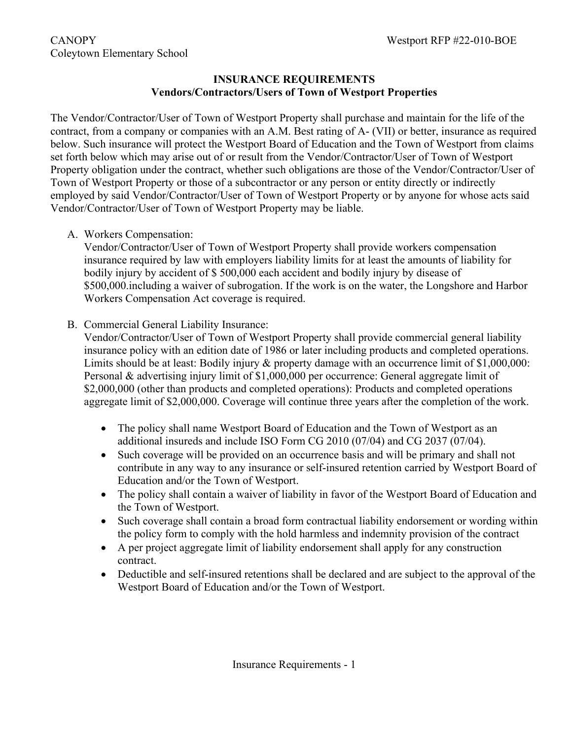# **INSURANCE REQUIREMENTS Vendors/Contractors/Users of Town of Westport Properties**

The Vendor/Contractor/User of Town of Westport Property shall purchase and maintain for the life of the contract, from a company or companies with an A.M. Best rating of A- (VII) or better, insurance as required below. Such insurance will protect the Westport Board of Education and the Town of Westport from claims set forth below which may arise out of or result from the Vendor/Contractor/User of Town of Westport Property obligation under the contract, whether such obligations are those of the Vendor/Contractor/User of Town of Westport Property or those of a subcontractor or any person or entity directly or indirectly employed by said Vendor/Contractor/User of Town of Westport Property or by anyone for whose acts said Vendor/Contractor/User of Town of Westport Property may be liable.

A. Workers Compensation:

Vendor/Contractor/User of Town of Westport Property shall provide workers compensation insurance required by law with employers liability limits for at least the amounts of liability for bodily injury by accident of \$ 500,000 each accident and bodily injury by disease of \$500,000.including a waiver of subrogation. If the work is on the water, the Longshore and Harbor Workers Compensation Act coverage is required.

B. Commercial General Liability Insurance:

Vendor/Contractor/User of Town of Westport Property shall provide commercial general liability insurance policy with an edition date of 1986 or later including products and completed operations. Limits should be at least: Bodily injury & property damage with an occurrence limit of \$1,000,000: Personal & advertising injury limit of \$1,000,000 per occurrence: General aggregate limit of \$2,000,000 (other than products and completed operations): Products and completed operations aggregate limit of \$2,000,000. Coverage will continue three years after the completion of the work.

- The policy shall name Westport Board of Education and the Town of Westport as an additional insureds and include ISO Form CG 2010 (07/04) and CG 2037 (07/04).
- Such coverage will be provided on an occurrence basis and will be primary and shall not contribute in any way to any insurance or self-insured retention carried by Westport Board of Education and/or the Town of Westport.
- The policy shall contain a waiver of liability in favor of the Westport Board of Education and the Town of Westport.
- Such coverage shall contain a broad form contractual liability endorsement or wording within the policy form to comply with the hold harmless and indemnity provision of the contract
- A per project aggregate limit of liability endorsement shall apply for any construction contract.
- Deductible and self-insured retentions shall be declared and are subject to the approval of the Westport Board of Education and/or the Town of Westport.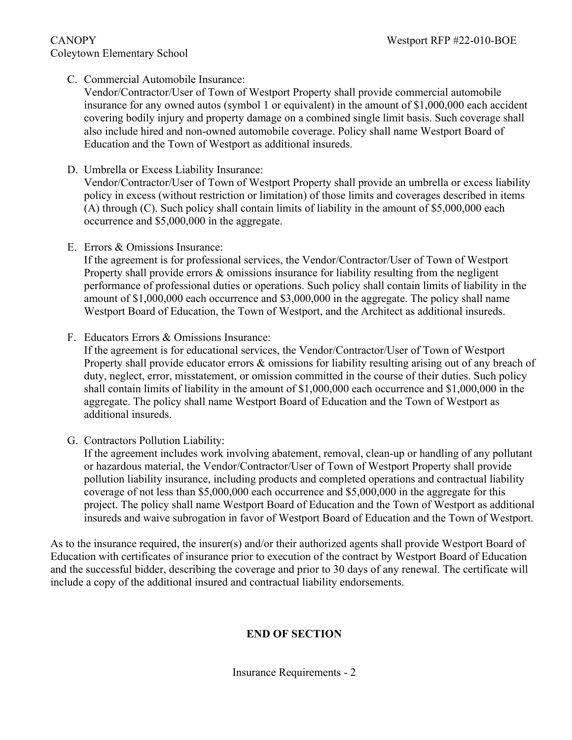# CANOPY Westport RFP #22-010-BOE Coleytown Elementary School

C. Commercial Automobile Insurance:

Vendor/Contractor/User of Town of Westport Property shall provide commercial automobile insurance for any owned autos (symbol 1 or equivalent) in the amount of \$1,000,000 each accident covering bodily injury and property damage on a combined single limit basis. Such coverage shall also include hired and non-owned automobile coverage. Policy shall name Westport Board of Education and the Town of Westport as additional insureds.

D. Umbrella or Excess Liability Insurance:

Vendor/Contractor/User of Town of Westport Property shall provide an umbrella or excess liability policy in excess (without restriction or limitation) of those limits and coverages described in items (A) through (C). Such policy shall contain limits of liability in the amount of \$5,000,000 each occurrence and \$5,000,000 in the aggregate.

E. Errors & Omissions Insurance:

If the agreement is for professional services, the Vendor/Contractor/User of Town of Westport Property shall provide errors & omissions insurance for liability resulting from the negligent performance of professional duties or operations. Such policy shall contain limits of liability in the amount of \$1,000,000 each occurrence and \$3,000,000 in the aggregate. The policy shall name Westport Board of Education, the Town of Westport, and the Architect as additional insureds.

F. Educators Errors & Omissions Insurance:

If the agreement is for educational services, the Vendor/Contractor/User of Town of Westport Property shall provide educator errors & omissions for liability resulting arising out of any breach of duty, neglect, error, misstatement, or omission committed in the course of their duties. Such policy shall contain limits of liability in the amount of \$1,000,000 each occurrence and \$1,000,000 in the aggregate. The policy shall name Westport Board of Education and the Town of Westport as additional insureds.

G. Contractors Pollution Liability:

If the agreement includes work involving abatement, removal, clean-up or handling of any pollutant or hazardous material, the Vendor/Contractor/User of Town of Westport Property shall provide pollution liability insurance, including products and completed operations and contractual liability coverage of not less than \$5,000,000 each occurrence and \$5,000,000 in the aggregate for this project. The policy shall name Westport Board of Education and the Town of Westport as additional insureds and waive subrogation in favor of Westport Board of Education and the Town of Westport.

As to the insurance required, the insurer(s) and/or their authorized agents shall provide Westport Board of Education with certificates of insurance prior to execution of the contract by Westport Board of Education and the successful bidder, describing the coverage and prior to 30 days of any renewal. The certificate will include a copy of the additional insured and contractual liability endorsements.

# **END OF SECTION**

Insurance Requirements - 2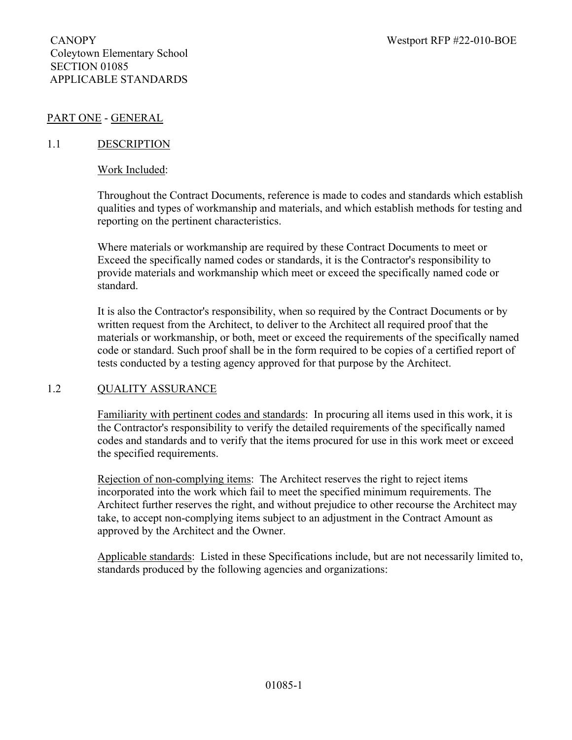# PART ONE - GENERAL

# 1.1 DESCRIPTION

## Work Included:

Throughout the Contract Documents, reference is made to codes and standards which establish qualities and types of workmanship and materials, and which establish methods for testing and reporting on the pertinent characteristics.

Where materials or workmanship are required by these Contract Documents to meet or Exceed the specifically named codes or standards, it is the Contractor's responsibility to provide materials and workmanship which meet or exceed the specifically named code or standard.

It is also the Contractor's responsibility, when so required by the Contract Documents or by written request from the Architect, to deliver to the Architect all required proof that the materials or workmanship, or both, meet or exceed the requirements of the specifically named code or standard. Such proof shall be in the form required to be copies of a certified report of tests conducted by a testing agency approved for that purpose by the Architect.

# 1.2 QUALITY ASSURANCE

Familiarity with pertinent codes and standards: In procuring all items used in this work, it is the Contractor's responsibility to verify the detailed requirements of the specifically named codes and standards and to verify that the items procured for use in this work meet or exceed the specified requirements.

Rejection of non-complying items: The Architect reserves the right to reject items incorporated into the work which fail to meet the specified minimum requirements. The Architect further reserves the right, and without prejudice to other recourse the Architect may take, to accept non-complying items subject to an adjustment in the Contract Amount as approved by the Architect and the Owner.

Applicable standards: Listed in these Specifications include, but are not necessarily limited to, standards produced by the following agencies and organizations: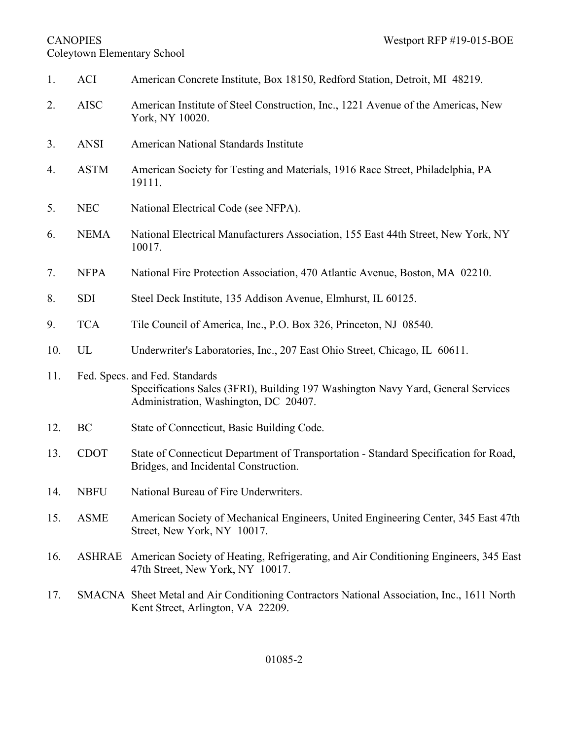# CANOPIES Westport RFP #19-015-BOE Coleytown Elementary School

| 1.  | ACI           | American Concrete Institute, Box 18150, Redford Station, Detroit, MI 48219.                                                                                 |
|-----|---------------|-------------------------------------------------------------------------------------------------------------------------------------------------------------|
| 2.  | <b>AISC</b>   | American Institute of Steel Construction, Inc., 1221 Avenue of the Americas, New<br>York, NY 10020.                                                         |
| 3.  | <b>ANSI</b>   | American National Standards Institute                                                                                                                       |
| 4.  | <b>ASTM</b>   | American Society for Testing and Materials, 1916 Race Street, Philadelphia, PA<br>19111.                                                                    |
| 5.  | <b>NEC</b>    | National Electrical Code (see NFPA).                                                                                                                        |
| 6.  | <b>NEMA</b>   | National Electrical Manufacturers Association, 155 East 44th Street, New York, NY<br>10017.                                                                 |
| 7.  | <b>NFPA</b>   | National Fire Protection Association, 470 Atlantic Avenue, Boston, MA 02210.                                                                                |
| 8.  | <b>SDI</b>    | Steel Deck Institute, 135 Addison Avenue, Elmhurst, IL 60125.                                                                                               |
| 9.  | <b>TCA</b>    | Tile Council of America, Inc., P.O. Box 326, Princeton, NJ 08540.                                                                                           |
| 10. | UL            | Underwriter's Laboratories, Inc., 207 East Ohio Street, Chicago, IL 60611.                                                                                  |
| 11. |               | Fed. Specs. and Fed. Standards<br>Specifications Sales (3FRI), Building 197 Washington Navy Yard, General Services<br>Administration, Washington, DC 20407. |
| 12. | BC            | State of Connecticut, Basic Building Code.                                                                                                                  |
| 13. | <b>CDOT</b>   | State of Connecticut Department of Transportation - Standard Specification for Road,<br>Bridges, and Incidental Construction.                               |
| 14. | <b>NBFU</b>   | National Bureau of Fire Underwriters.                                                                                                                       |
| 15. | <b>ASME</b>   | American Society of Mechanical Engineers, United Engineering Center, 345 East 47th<br>Street, New York, NY 10017.                                           |
| 16. | <b>ASHRAE</b> | American Society of Heating, Refrigerating, and Air Conditioning Engineers, 345 East<br>47th Street, New York, NY 10017.                                    |
| 17. |               | SMACNA Sheet Metal and Air Conditioning Contractors National Association, Inc., 1611 North<br>Kent Street, Arlington, VA 22209.                             |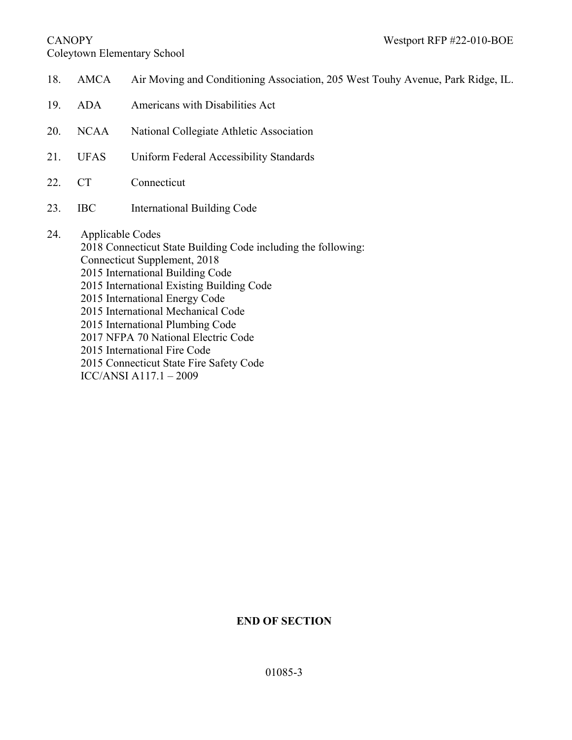# Coleytown Elementary School

18. AMCA Air Moving and Conditioning Association, 205 West Touhy Avenue, Park Ridge, IL. 19. ADA Americans with Disabilities Act 20. NCAA National Collegiate Athletic Association 21. UFAS Uniform Federal Accessibility Standards 22. CT Connecticut 23. IBC International Building Code 24. Applicable Codes 2018 Connecticut State Building Code including the following: Connecticut Supplement, 2018 2015 International Building Code 2015 International Existing Building Code 2015 International Energy Code 2015 International Mechanical Code 2015 International Plumbing Code 2017 NFPA 70 National Electric Code 2015 International Fire Code 2015 Connecticut State Fire Safety Code ICC/ANSI A117.1 – 2009

# **END OF SECTION**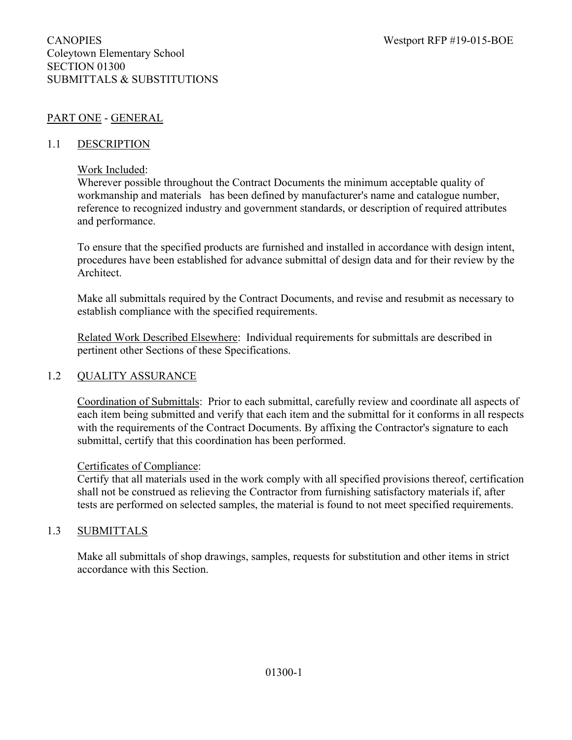# PART ONE - GENERAL

#### 1.1 DESCRIPTION

#### Work Included:

Wherever possible throughout the Contract Documents the minimum acceptable quality of workmanship and materials has been defined by manufacturer's name and catalogue number, reference to recognized industry and government standards, or description of required attributes and performance.

To ensure that the specified products are furnished and installed in accordance with design intent, procedures have been established for advance submittal of design data and for their review by the Architect.

Make all submittals required by the Contract Documents, and revise and resubmit as necessary to establish compliance with the specified requirements.

Related Work Described Elsewhere: Individual requirements for submittals are described in pertinent other Sections of these Specifications.

#### 1.2 QUALITY ASSURANCE

Coordination of Submittals: Prior to each submittal, carefully review and coordinate all aspects of each item being submitted and verify that each item and the submittal for it conforms in all respects with the requirements of the Contract Documents. By affixing the Contractor's signature to each submittal, certify that this coordination has been performed.

#### Certificates of Compliance:

Certify that all materials used in the work comply with all specified provisions thereof, certification shall not be construed as relieving the Contractor from furnishing satisfactory materials if, after tests are performed on selected samples, the material is found to not meet specified requirements.

# 1.3 SUBMITTALS

Make all submittals of shop drawings, samples, requests for substitution and other items in strict accordance with this Section.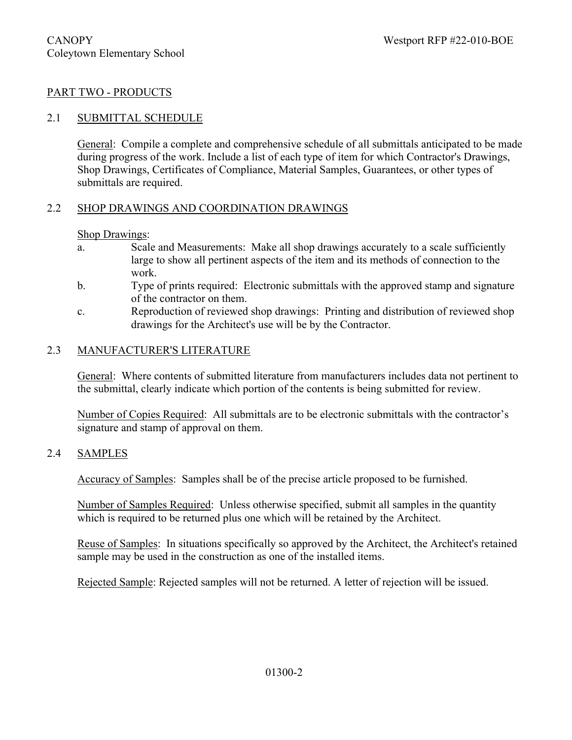# PART TWO - PRODUCTS

# 2.1 SUBMITTAL SCHEDULE

General: Compile a complete and comprehensive schedule of all submittals anticipated to be made during progress of the work. Include a list of each type of item for which Contractor's Drawings, Shop Drawings, Certificates of Compliance, Material Samples, Guarantees, or other types of submittals are required.

# 2.2 SHOP DRAWINGS AND COORDINATION DRAWINGS

#### Shop Drawings:

- a. Scale and Measurements: Make all shop drawings accurately to a scale sufficiently large to show all pertinent aspects of the item and its methods of connection to the work.
- b. Type of prints required: Electronic submittals with the approved stamp and signature of the contractor on them.
- c. Reproduction of reviewed shop drawings: Printing and distribution of reviewed shop drawings for the Architect's use will be by the Contractor.

#### 2.3 MANUFACTURER'S LITERATURE

General: Where contents of submitted literature from manufacturers includes data not pertinent to the submittal, clearly indicate which portion of the contents is being submitted for review.

Number of Copies Required: All submittals are to be electronic submittals with the contractor's signature and stamp of approval on them.

#### 2.4 SAMPLES

Accuracy of Samples: Samples shall be of the precise article proposed to be furnished.

Number of Samples Required: Unless otherwise specified, submit all samples in the quantity which is required to be returned plus one which will be retained by the Architect.

Reuse of Samples: In situations specifically so approved by the Architect, the Architect's retained sample may be used in the construction as one of the installed items.

Rejected Sample: Rejected samples will not be returned. A letter of rejection will be issued.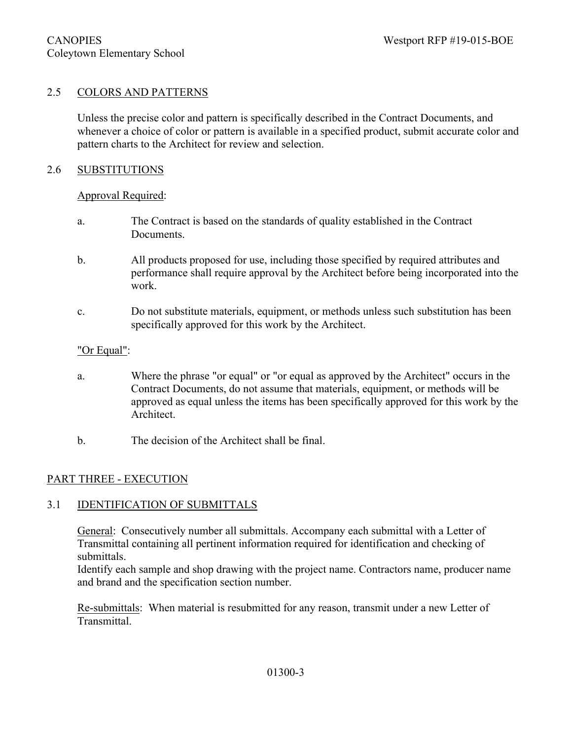### 2.5 COLORS AND PATTERNS

Unless the precise color and pattern is specifically described in the Contract Documents, and whenever a choice of color or pattern is available in a specified product, submit accurate color and pattern charts to the Architect for review and selection.

#### 2.6 SUBSTITUTIONS

#### Approval Required:

- a. The Contract is based on the standards of quality established in the Contract Documents.
- b. All products proposed for use, including those specified by required attributes and performance shall require approval by the Architect before being incorporated into the work.
- c. Do not substitute materials, equipment, or methods unless such substitution has been specifically approved for this work by the Architect.

#### "Or Equal":

- a. Where the phrase "or equal" or "or equal as approved by the Architect" occurs in the Contract Documents, do not assume that materials, equipment, or methods will be approved as equal unless the items has been specifically approved for this work by the Architect.
- b. The decision of the Architect shall be final.

#### PART THREE - EXECUTION

#### 3.1 IDENTIFICATION OF SUBMITTALS

General: Consecutively number all submittals. Accompany each submittal with a Letter of Transmittal containing all pertinent information required for identification and checking of submittals.

Identify each sample and shop drawing with the project name. Contractors name, producer name and brand and the specification section number.

Re-submittals: When material is resubmitted for any reason, transmit under a new Letter of Transmittal.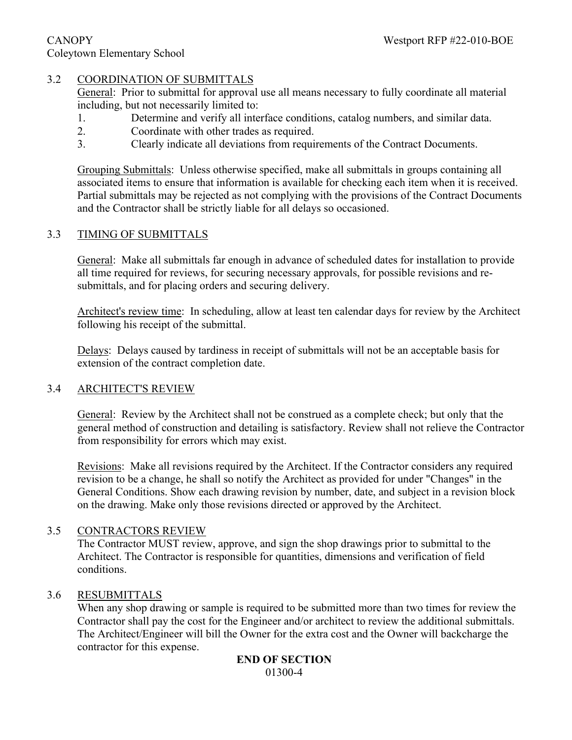## 3.2 COORDINATION OF SUBMITTALS

General: Prior to submittal for approval use all means necessary to fully coordinate all material including, but not necessarily limited to:

- 1. Determine and verify all interface conditions, catalog numbers, and similar data.
- 2. Coordinate with other trades as required.
- 3. Clearly indicate all deviations from requirements of the Contract Documents.

Grouping Submittals: Unless otherwise specified, make all submittals in groups containing all associated items to ensure that information is available for checking each item when it is received. Partial submittals may be rejected as not complying with the provisions of the Contract Documents and the Contractor shall be strictly liable for all delays so occasioned.

#### 3.3 TIMING OF SUBMITTALS

General: Make all submittals far enough in advance of scheduled dates for installation to provide all time required for reviews, for securing necessary approvals, for possible revisions and resubmittals, and for placing orders and securing delivery.

Architect's review time: In scheduling, allow at least ten calendar days for review by the Architect following his receipt of the submittal.

Delays: Delays caused by tardiness in receipt of submittals will not be an acceptable basis for extension of the contract completion date.

#### 3.4 ARCHITECT'S REVIEW

General: Review by the Architect shall not be construed as a complete check; but only that the general method of construction and detailing is satisfactory. Review shall not relieve the Contractor from responsibility for errors which may exist.

Revisions: Make all revisions required by the Architect. If the Contractor considers any required revision to be a change, he shall so notify the Architect as provided for under "Changes" in the General Conditions. Show each drawing revision by number, date, and subject in a revision block on the drawing. Make only those revisions directed or approved by the Architect.

#### 3.5 CONTRACTORS REVIEW

The Contractor MUST review, approve, and sign the shop drawings prior to submittal to the Architect. The Contractor is responsible for quantities, dimensions and verification of field conditions.

#### 3.6 RESUBMITTALS

When any shop drawing or sample is required to be submitted more than two times for review the Contractor shall pay the cost for the Engineer and/or architect to review the additional submittals. The Architect/Engineer will bill the Owner for the extra cost and the Owner will backcharge the contractor for this expense.

#### **END OF SECTION** 01300-4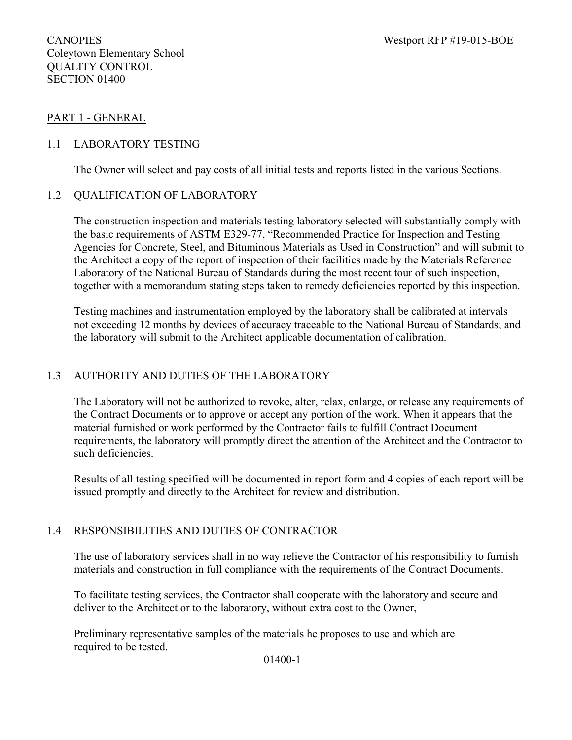# PART 1 - GENERAL

# 1.1 LABORATORY TESTING

The Owner will select and pay costs of all initial tests and reports listed in the various Sections.

# 1.2 QUALIFICATION OF LABORATORY

The construction inspection and materials testing laboratory selected will substantially comply with the basic requirements of ASTM E329-77, "Recommended Practice for Inspection and Testing Agencies for Concrete, Steel, and Bituminous Materials as Used in Construction" and will submit to the Architect a copy of the report of inspection of their facilities made by the Materials Reference Laboratory of the National Bureau of Standards during the most recent tour of such inspection, together with a memorandum stating steps taken to remedy deficiencies reported by this inspection.

Testing machines and instrumentation employed by the laboratory shall be calibrated at intervals not exceeding 12 months by devices of accuracy traceable to the National Bureau of Standards; and the laboratory will submit to the Architect applicable documentation of calibration.

## 1.3 AUTHORITY AND DUTIES OF THE LABORATORY

The Laboratory will not be authorized to revoke, alter, relax, enlarge, or release any requirements of the Contract Documents or to approve or accept any portion of the work. When it appears that the material furnished or work performed by the Contractor fails to fulfill Contract Document requirements, the laboratory will promptly direct the attention of the Architect and the Contractor to such deficiencies.

Results of all testing specified will be documented in report form and 4 copies of each report will be issued promptly and directly to the Architect for review and distribution.

#### 1.4 RESPONSIBILITIES AND DUTIES OF CONTRACTOR

The use of laboratory services shall in no way relieve the Contractor of his responsibility to furnish materials and construction in full compliance with the requirements of the Contract Documents.

To facilitate testing services, the Contractor shall cooperate with the laboratory and secure and deliver to the Architect or to the laboratory, without extra cost to the Owner,

Preliminary representative samples of the materials he proposes to use and which are required to be tested.

01400-1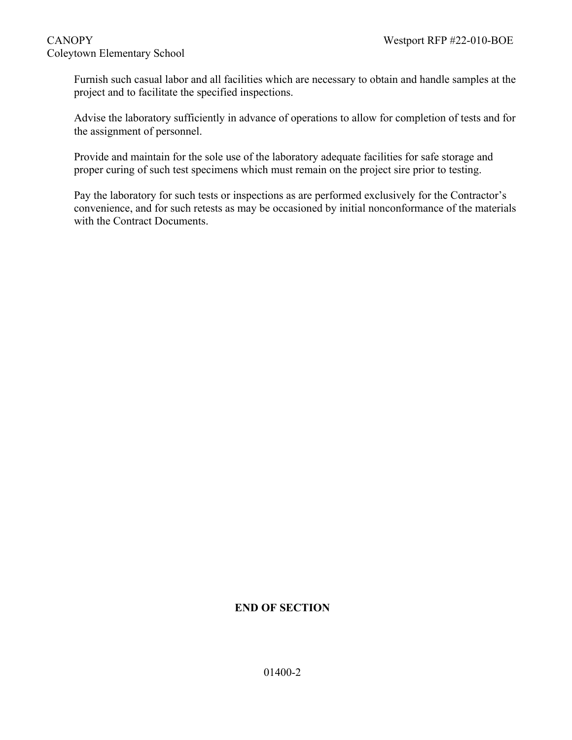## CANOPY Westport RFP #22-010-BOE Coleytown Elementary School

Furnish such casual labor and all facilities which are necessary to obtain and handle samples at the project and to facilitate the specified inspections.

Advise the laboratory sufficiently in advance of operations to allow for completion of tests and for the assignment of personnel.

Provide and maintain for the sole use of the laboratory adequate facilities for safe storage and proper curing of such test specimens which must remain on the project sire prior to testing.

Pay the laboratory for such tests or inspections as are performed exclusively for the Contractor's convenience, and for such retests as may be occasioned by initial nonconformance of the materials with the Contract Documents.

# **END OF SECTION**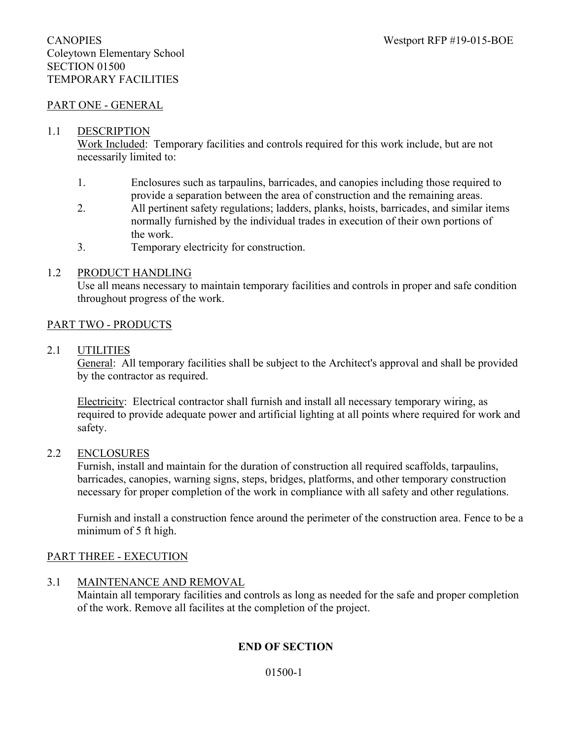#### PART ONE - GENERAL

#### 1.1 DESCRIPTION

Work Included: Temporary facilities and controls required for this work include, but are not necessarily limited to:

- 1. Enclosures such as tarpaulins, barricades, and canopies including those required to provide a separation between the area of construction and the remaining areas.
- 2. All pertinent safety regulations; ladders, planks, hoists, barricades, and similar items normally furnished by the individual trades in execution of their own portions of the work.
- 3. Temporary electricity for construction.

#### 1.2 PRODUCT HANDLING

Use all means necessary to maintain temporary facilities and controls in proper and safe condition throughout progress of the work.

#### PART TWO - PRODUCTS

#### 2.1 UTILITIES

General: All temporary facilities shall be subject to the Architect's approval and shall be provided by the contractor as required.

Electricity: Electrical contractor shall furnish and install all necessary temporary wiring, as required to provide adequate power and artificial lighting at all points where required for work and safety.

#### 2.2 ENCLOSURES

Furnish, install and maintain for the duration of construction all required scaffolds, tarpaulins, barricades, canopies, warning signs, steps, bridges, platforms, and other temporary construction necessary for proper completion of the work in compliance with all safety and other regulations.

Furnish and install a construction fence around the perimeter of the construction area. Fence to be a minimum of 5 ft high.

#### PART THREE - EXECUTION

#### 3.1 MAINTENANCE AND REMOVAL

Maintain all temporary facilities and controls as long as needed for the safe and proper completion of the work. Remove all facilites at the completion of the project.

#### **END OF SECTION**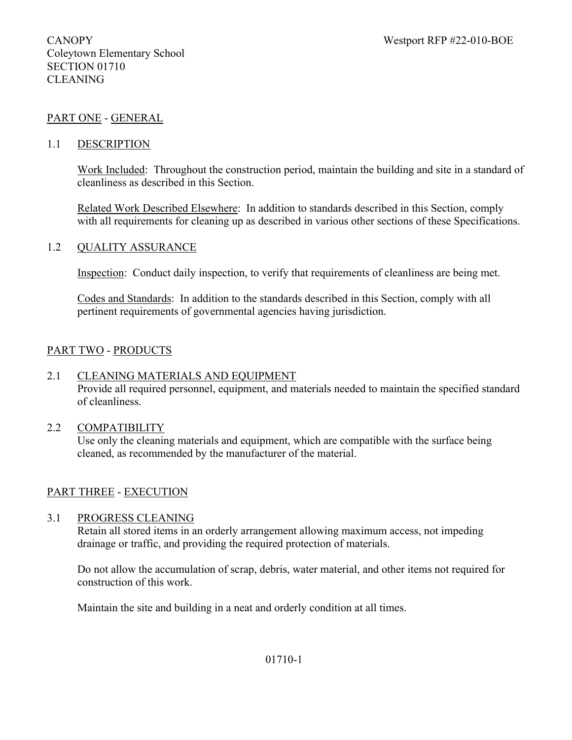# PART ONE - GENERAL

#### 1.1 DESCRIPTION

Work Included: Throughout the construction period, maintain the building and site in a standard of cleanliness as described in this Section.

Related Work Described Elsewhere: In addition to standards described in this Section, comply with all requirements for cleaning up as described in various other sections of these Specifications.

#### 1.2 QUALITY ASSURANCE

Inspection: Conduct daily inspection, to verify that requirements of cleanliness are being met.

Codes and Standards: In addition to the standards described in this Section, comply with all pertinent requirements of governmental agencies having jurisdiction.

# PART TWO - PRODUCTS

#### 2.1 CLEANING MATERIALS AND EQUIPMENT

Provide all required personnel, equipment, and materials needed to maintain the specified standard of cleanliness.

#### 2.2 COMPATIBILITY

Use only the cleaning materials and equipment, which are compatible with the surface being cleaned, as recommended by the manufacturer of the material.

#### PART THREE - EXECUTION

#### 3.1 PROGRESS CLEANING

Retain all stored items in an orderly arrangement allowing maximum access, not impeding drainage or traffic, and providing the required protection of materials.

Do not allow the accumulation of scrap, debris, water material, and other items not required for construction of this work.

Maintain the site and building in a neat and orderly condition at all times.

#### 01710-1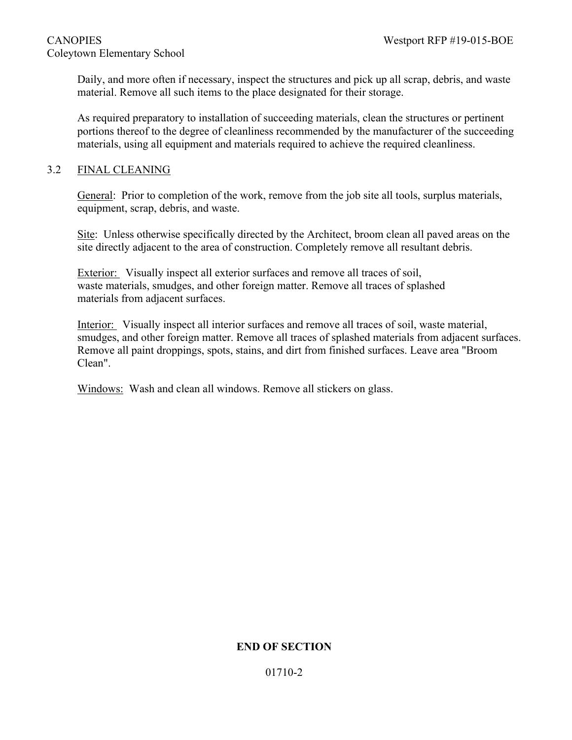Daily, and more often if necessary, inspect the structures and pick up all scrap, debris, and waste material. Remove all such items to the place designated for their storage.

As required preparatory to installation of succeeding materials, clean the structures or pertinent portions thereof to the degree of cleanliness recommended by the manufacturer of the succeeding materials, using all equipment and materials required to achieve the required cleanliness.

#### 3.2 FINAL CLEANING

General: Prior to completion of the work, remove from the job site all tools, surplus materials, equipment, scrap, debris, and waste.

Site: Unless otherwise specifically directed by the Architect, broom clean all paved areas on the site directly adjacent to the area of construction. Completely remove all resultant debris.

Exterior: Visually inspect all exterior surfaces and remove all traces of soil, waste materials, smudges, and other foreign matter. Remove all traces of splashed materials from adjacent surfaces.

Interior: Visually inspect all interior surfaces and remove all traces of soil, waste material, smudges, and other foreign matter. Remove all traces of splashed materials from adjacent surfaces. Remove all paint droppings, spots, stains, and dirt from finished surfaces. Leave area "Broom Clean".

Windows: Wash and clean all windows. Remove all stickers on glass.

# **END OF SECTION**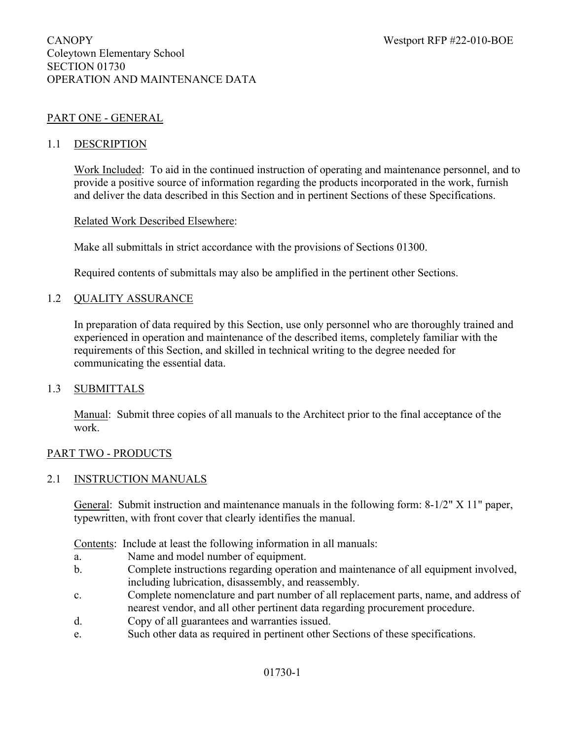# PART ONE - GENERAL

#### 1.1 DESCRIPTION

Work Included: To aid in the continued instruction of operating and maintenance personnel, and to provide a positive source of information regarding the products incorporated in the work, furnish and deliver the data described in this Section and in pertinent Sections of these Specifications.

#### Related Work Described Elsewhere:

Make all submittals in strict accordance with the provisions of Sections 01300.

Required contents of submittals may also be amplified in the pertinent other Sections.

# 1.2 QUALITY ASSURANCE

In preparation of data required by this Section, use only personnel who are thoroughly trained and experienced in operation and maintenance of the described items, completely familiar with the requirements of this Section, and skilled in technical writing to the degree needed for communicating the essential data.

#### 1.3 SUBMITTALS

Manual: Submit three copies of all manuals to the Architect prior to the final acceptance of the work.

#### PART TWO - PRODUCTS

# 2.1 INSTRUCTION MANUALS

General: Submit instruction and maintenance manuals in the following form: 8-1/2" X 11" paper, typewritten, with front cover that clearly identifies the manual.

Contents: Include at least the following information in all manuals:

- a. Name and model number of equipment.
- b. Complete instructions regarding operation and maintenance of all equipment involved, including lubrication, disassembly, and reassembly.
- c. Complete nomenclature and part number of all replacement parts, name, and address of nearest vendor, and all other pertinent data regarding procurement procedure.
- d. Copy of all guarantees and warranties issued.
- e. Such other data as required in pertinent other Sections of these specifications.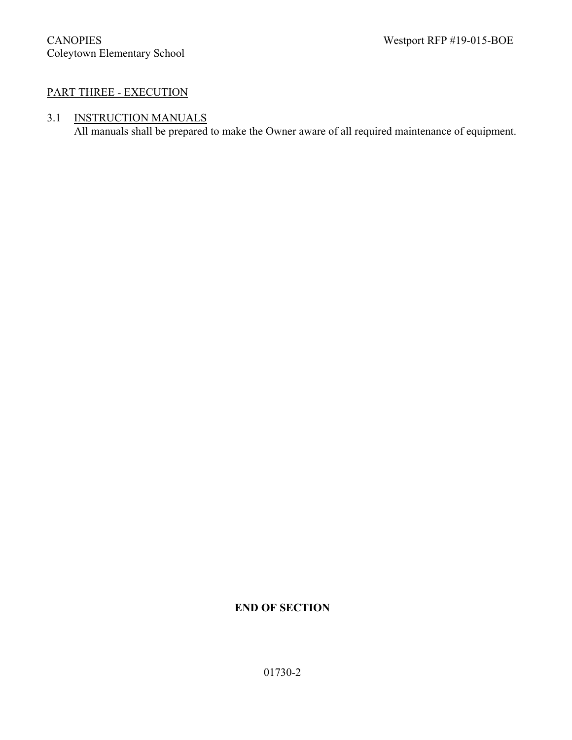# PART THREE - EXECUTION

# 3.1 INSTRUCTION MANUALS

All manuals shall be prepared to make the Owner aware of all required maintenance of equipment.

# **END OF SECTION**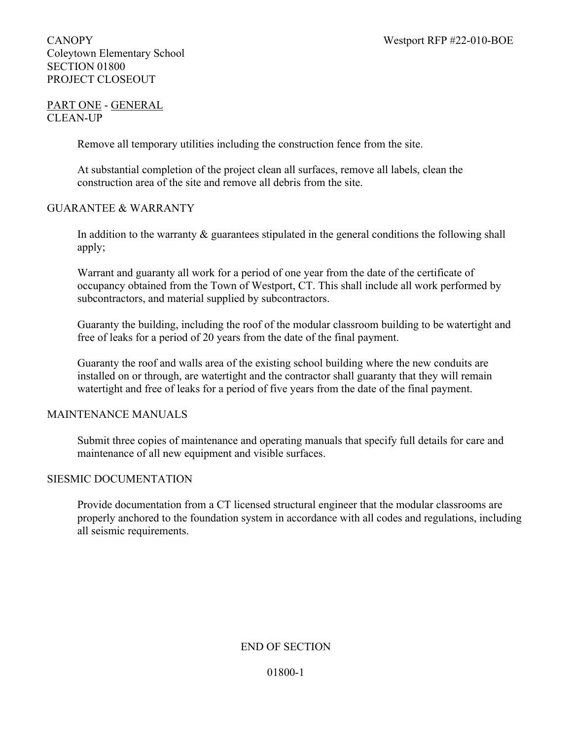# CANOPY Westport RFP #22-010-BOE Coleytown Elementary School SECTION 01800 PROJECT CLOSEOUT

# PART ONE - GENERAL CLEAN-UP

Remove all temporary utilities including the construction fence from the site.

At substantial completion of the project clean all surfaces, remove all labels, clean the construction area of the site and remove all debris from the site.

# GUARANTEE & WARRANTY

In addition to the warranty  $\&$  guarantees stipulated in the general conditions the following shall apply;

Warrant and guaranty all work for a period of one year from the date of the certificate of occupancy obtained from the Town of Westport, CT. This shall include all work performed by subcontractors, and material supplied by subcontractors.

Guaranty the building, including the roof of the modular classroom building to be watertight and free of leaks for a period of 20 years from the date of the final payment.

Guaranty the roof and walls area of the existing school building where the new conduits are installed on or through, are watertight and the contractor shall guaranty that they will remain watertight and free of leaks for a period of five years from the date of the final payment.

# MAINTENANCE MANUALS

Submit three copies of maintenance and operating manuals that specify full details for care and maintenance of all new equipment and visible surfaces.

# SIESMIC DOCUMENTATION

Provide documentation from a CT licensed structural engineer that the modular classrooms are properly anchored to the foundation system in accordance with all codes and regulations, including all seismic requirements.

# END OF SECTION

01800-1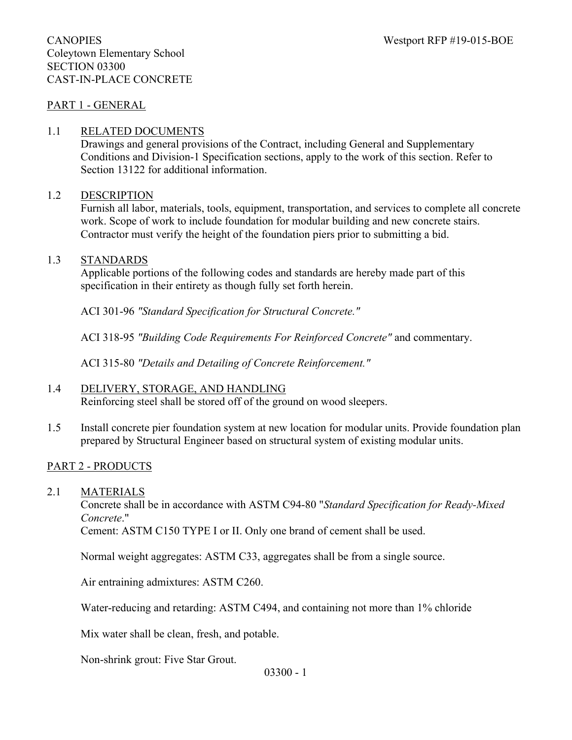#### PART 1 - GENERAL

#### 1.1 RELATED DOCUMENTS

Drawings and general provisions of the Contract, including General and Supplementary Conditions and Division-1 Specification sections, apply to the work of this section. Refer to Section 13122 for additional information.

#### 1.2 DESCRIPTION

Furnish all labor, materials, tools, equipment, transportation, and services to complete all concrete work. Scope of work to include foundation for modular building and new concrete stairs. Contractor must verify the height of the foundation piers prior to submitting a bid.

#### 1.3 STANDARDS

Applicable portions of the following codes and standards are hereby made part of this specification in their entirety as though fully set forth herein.

ACI 301-96 *"Standard Specification for Structural Concrete."*

ACI 318-95 *"Building Code Requirements For Reinforced Concrete"* and commentary.

ACI 315-80 *"Details and Detailing of Concrete Reinforcement."*

# 1.4 DELIVERY, STORAGE, AND HANDLING

Reinforcing steel shall be stored off of the ground on wood sleepers.

1.5 Install concrete pier foundation system at new location for modular units. Provide foundation plan prepared by Structural Engineer based on structural system of existing modular units.

# PART 2 - PRODUCTS

2.1 MATERIALS

Concrete shall be in accordance with ASTM C94-80 "*Standard Specification for Ready-Mixed Concrete*."

Cement: ASTM C150 TYPE I or II. Only one brand of cement shall be used.

Normal weight aggregates: ASTM C33, aggregates shall be from a single source.

Air entraining admixtures: ASTM C260.

Water-reducing and retarding: ASTM C494, and containing not more than 1% chloride

Mix water shall be clean, fresh, and potable.

Non-shrink grout: Five Star Grout.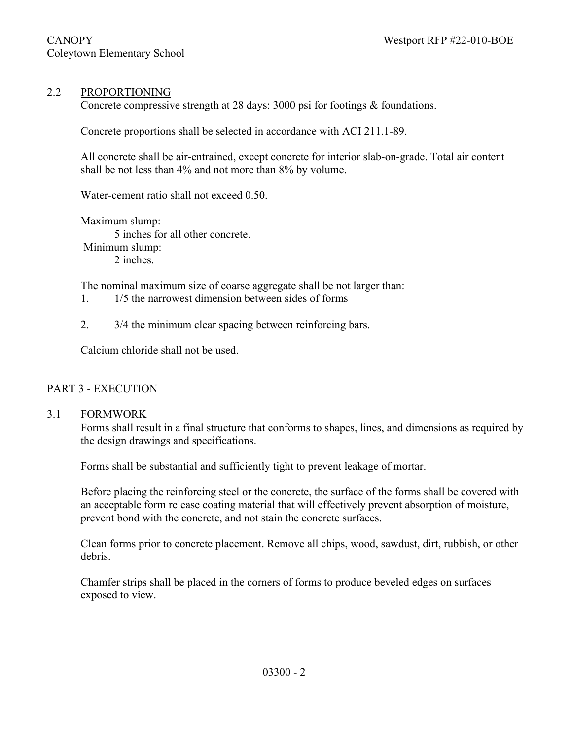#### 2.2 PROPORTIONING

Concrete compressive strength at 28 days: 3000 psi for footings & foundations.

Concrete proportions shall be selected in accordance with ACI 211.1-89.

All concrete shall be air-entrained, except concrete for interior slab-on-grade. Total air content shall be not less than 4% and not more than 8% by volume.

Water-cement ratio shall not exceed 0.50.

Maximum slump: 5 inches for all other concrete. Minimum slump: 2 inches.

The nominal maximum size of coarse aggregate shall be not larger than:

- 1. 1/5 the narrowest dimension between sides of forms
- 2. 3/4 the minimum clear spacing between reinforcing bars.

Calcium chloride shall not be used.

#### PART 3 - EXECUTION

#### 3.1 FORMWORK

Forms shall result in a final structure that conforms to shapes, lines, and dimensions as required by the design drawings and specifications.

Forms shall be substantial and sufficiently tight to prevent leakage of mortar.

Before placing the reinforcing steel or the concrete, the surface of the forms shall be covered with an acceptable form release coating material that will effectively prevent absorption of moisture, prevent bond with the concrete, and not stain the concrete surfaces.

Clean forms prior to concrete placement. Remove all chips, wood, sawdust, dirt, rubbish, or other debris.

Chamfer strips shall be placed in the corners of forms to produce beveled edges on surfaces exposed to view.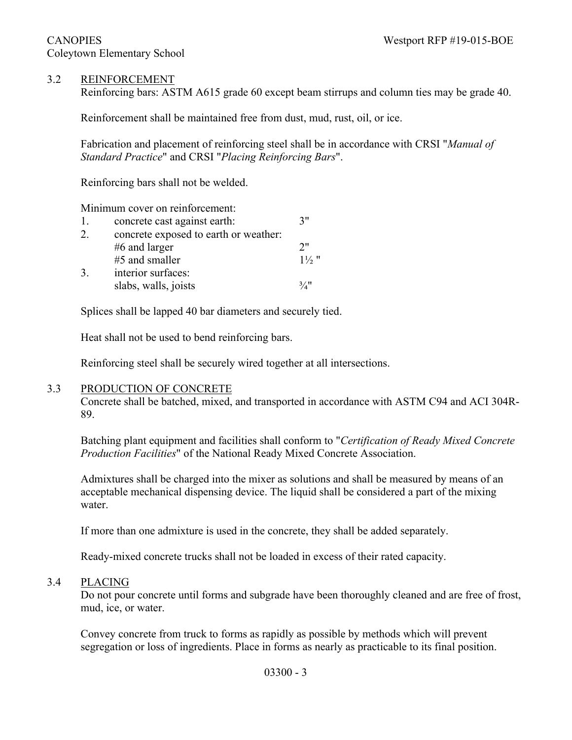# 3.2 REINFORCEMENT

Reinforcing bars: ASTM A615 grade 60 except beam stirrups and column ties may be grade 40.

Reinforcement shall be maintained free from dust, mud, rust, oil, or ice.

Fabrication and placement of reinforcing steel shall be in accordance with CRSI "*Manual of Standard Practice*" and CRSI "*Placing Reinforcing Bars*".

Reinforcing bars shall not be welded.

Minimum cover on reinforcement:

| 1. | concrete cast against earth:          | 7"               |
|----|---------------------------------------|------------------|
| 2. | concrete exposed to earth or weather: |                  |
|    | $#6$ and larger                       | 2"               |
|    | #5 and smaller                        | $1\frac{1}{2}$ " |
| 3. | interior surfaces:                    |                  |
|    | slabs, walls, joists                  | 3/4"             |

Splices shall be lapped 40 bar diameters and securely tied.

Heat shall not be used to bend reinforcing bars.

Reinforcing steel shall be securely wired together at all intersections.

#### 3.3 PRODUCTION OF CONCRETE

Concrete shall be batched, mixed, and transported in accordance with ASTM C94 and ACI 304R-89.

Batching plant equipment and facilities shall conform to "*Certification of Ready Mixed Concrete Production Facilities*" of the National Ready Mixed Concrete Association.

Admixtures shall be charged into the mixer as solutions and shall be measured by means of an acceptable mechanical dispensing device. The liquid shall be considered a part of the mixing water.

If more than one admixture is used in the concrete, they shall be added separately.

Ready-mixed concrete trucks shall not be loaded in excess of their rated capacity.

#### 3.4 PLACING

Do not pour concrete until forms and subgrade have been thoroughly cleaned and are free of frost, mud, ice, or water.

Convey concrete from truck to forms as rapidly as possible by methods which will prevent segregation or loss of ingredients. Place in forms as nearly as practicable to its final position.